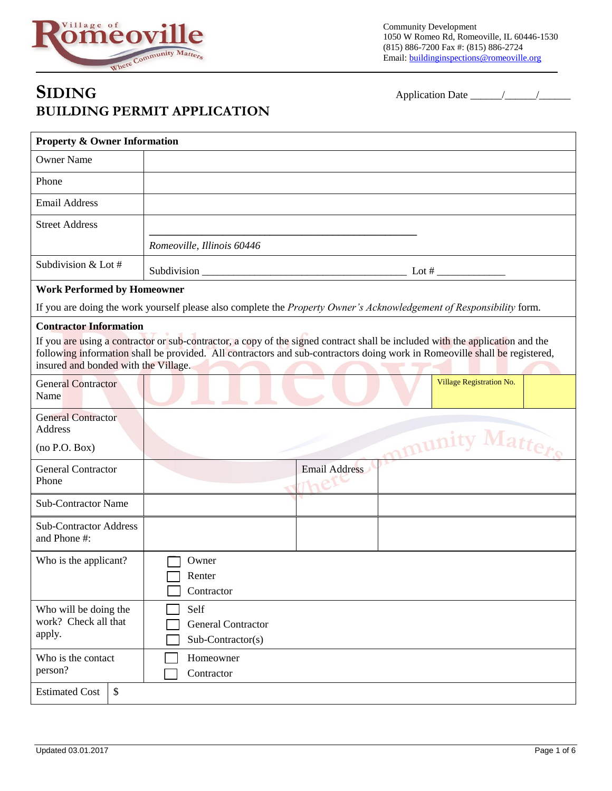

Community Development 1050 W Romeo Rd, Romeoville, IL 60446-1530 (815) 886-7200 Fax #: (815) 886-2724 Email: buildinginspections@romeoville.org

## **SIDING** Application Date \_\_\_\_\_\_/\_\_\_\_\_\_/\_\_\_\_\_\_ **BUILDING PERMIT APPLICATION**

| <b>Property &amp; Owner Information</b>                               |                                                                                                                                                                                                                                                                                                                                                                                                          |
|-----------------------------------------------------------------------|----------------------------------------------------------------------------------------------------------------------------------------------------------------------------------------------------------------------------------------------------------------------------------------------------------------------------------------------------------------------------------------------------------|
| <b>Owner Name</b>                                                     |                                                                                                                                                                                                                                                                                                                                                                                                          |
| Phone                                                                 |                                                                                                                                                                                                                                                                                                                                                                                                          |
| <b>Email Address</b>                                                  |                                                                                                                                                                                                                                                                                                                                                                                                          |
| <b>Street Address</b>                                                 |                                                                                                                                                                                                                                                                                                                                                                                                          |
|                                                                       | Romeoville, Illinois 60446                                                                                                                                                                                                                                                                                                                                                                               |
| Subdivision & Lot #                                                   | Subdivision $\frac{1}{\sqrt{1-\frac{1}{2}}\sqrt{1-\frac{1}{2}}\sqrt{1-\frac{1}{2}}\sqrt{1-\frac{1}{2}}\sqrt{1-\frac{1}{2}}\sqrt{1-\frac{1}{2}}\sqrt{1-\frac{1}{2}}\sqrt{1-\frac{1}{2}}\sqrt{1-\frac{1}{2}}\sqrt{1-\frac{1}{2}}\sqrt{1-\frac{1}{2}}\sqrt{1-\frac{1}{2}}\sqrt{1-\frac{1}{2}}\sqrt{1-\frac{1}{2}}\sqrt{1-\frac{1}{2}}\sqrt{1-\frac{1}{2}}\sqrt{1-\frac{1}{2}}\sqrt{1-\frac{1}{2}}\sqrt{1-\$ |
| <b>Work Performed by Homeowner</b>                                    |                                                                                                                                                                                                                                                                                                                                                                                                          |
|                                                                       | If you are doing the work yourself please also complete the Property Owner's Acknowledgement of Responsibility form.                                                                                                                                                                                                                                                                                     |
| <b>Contractor Information</b><br>insured and bonded with the Village. | If you are using a contractor or sub-contractor, a copy of the signed contract shall be included with the application and the<br>following information shall be provided. All contractors and sub-contractors doing work in Romeoville shall be registered,                                                                                                                                              |
| <b>General Contractor</b><br>Name                                     | Village Registration No.                                                                                                                                                                                                                                                                                                                                                                                 |
| <b>General Contractor</b><br>Address                                  | mmunity Matters                                                                                                                                                                                                                                                                                                                                                                                          |
| (no P.O. Box)                                                         |                                                                                                                                                                                                                                                                                                                                                                                                          |
| <b>General Contractor</b><br>Phone                                    | Email Address                                                                                                                                                                                                                                                                                                                                                                                            |
| <b>Sub-Contractor Name</b>                                            |                                                                                                                                                                                                                                                                                                                                                                                                          |
| <b>Sub-Contractor Address</b><br>and Phone #:                         |                                                                                                                                                                                                                                                                                                                                                                                                          |
| Who is the applicant?                                                 | Owner<br>Renter<br>Contractor                                                                                                                                                                                                                                                                                                                                                                            |
| Who will be doing the<br>work? Check all that<br>apply.               | Self<br><b>General Contractor</b><br>Sub-Contractor(s)                                                                                                                                                                                                                                                                                                                                                   |
| Who is the contact<br>person?                                         | Homeowner<br>Contractor                                                                                                                                                                                                                                                                                                                                                                                  |
| $\boldsymbol{\mathsf{S}}$<br><b>Estimated Cost</b>                    |                                                                                                                                                                                                                                                                                                                                                                                                          |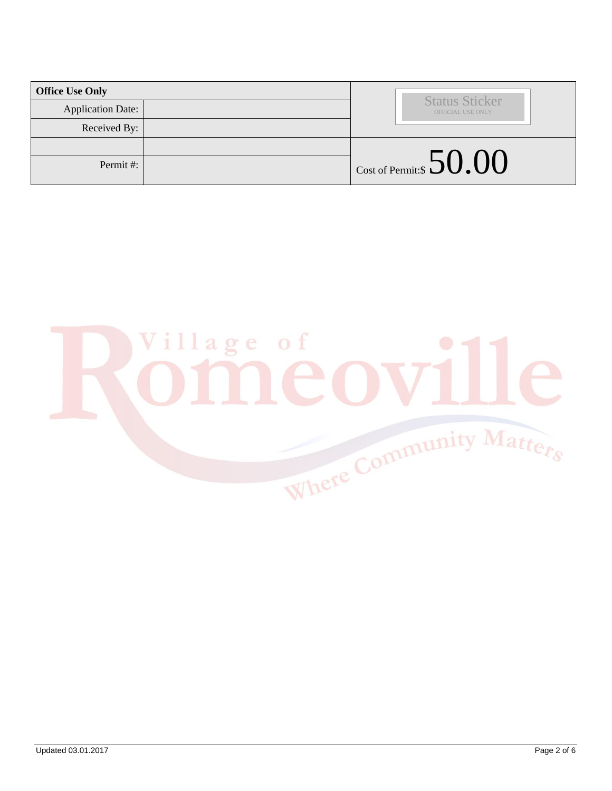| <b>Office Use Only</b>   |                                            |
|--------------------------|--------------------------------------------|
| <b>Application Date:</b> | <b>Status Sticker</b><br>OFFICIAL USE ONLY |
| Received By:             |                                            |
|                          |                                            |
| Permit#:                 | $\vert$ Cost of Permit:\$ $50.00$          |

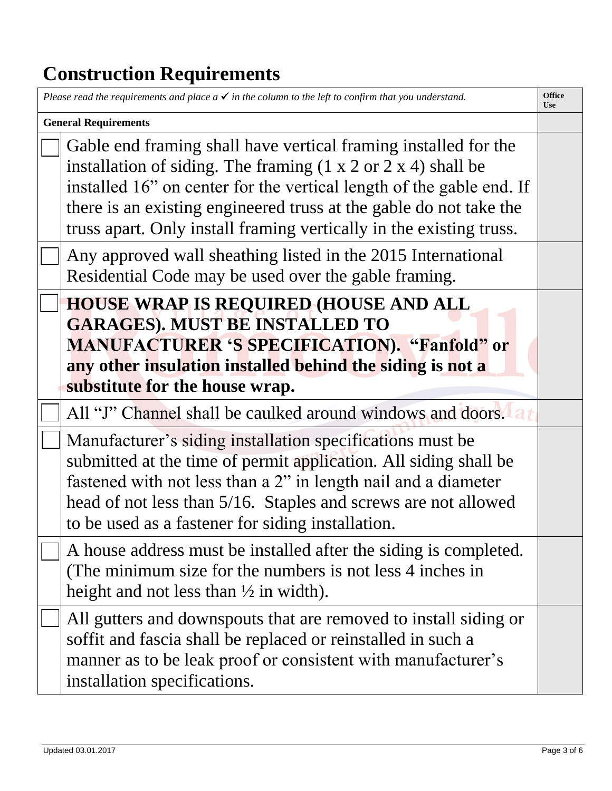## **Construction Requirements**

| Please read the requirements and place $a \checkmark$ in the column to the left to confirm that you understand.<br><b>Office</b><br><b>Use</b> |                                                                                                                                                                                                                                                                                                                                                                            |  |
|------------------------------------------------------------------------------------------------------------------------------------------------|----------------------------------------------------------------------------------------------------------------------------------------------------------------------------------------------------------------------------------------------------------------------------------------------------------------------------------------------------------------------------|--|
| <b>General Requirements</b>                                                                                                                    |                                                                                                                                                                                                                                                                                                                                                                            |  |
|                                                                                                                                                | Gable end framing shall have vertical framing installed for the<br>installation of siding. The framing $(1 \times 2 \text{ or } 2 \times 4)$ shall be<br>installed 16" on center for the vertical length of the gable end. If<br>there is an existing engineered truss at the gable do not take the<br>truss apart. Only install framing vertically in the existing truss. |  |
|                                                                                                                                                | Any approved wall sheathing listed in the 2015 International<br>Residential Code may be used over the gable framing.                                                                                                                                                                                                                                                       |  |
|                                                                                                                                                | <b>HOUSE WRAP IS REQUIRED (HOUSE AND ALL</b><br><b>GARAGES). MUST BE INSTALLED TO</b><br><b>MANUFACTURER 'S SPECIFICATION). "Fanfold" or</b><br>any other insulation installed behind the siding is not a<br>substitute for the house wrap.                                                                                                                                |  |
|                                                                                                                                                | All "J" Channel shall be caulked around windows and doors. A                                                                                                                                                                                                                                                                                                               |  |
|                                                                                                                                                | Manufacturer's siding installation specifications must be<br>submitted at the time of permit application. All siding shall be<br>fastened with not less than a 2" in length nail and a diameter<br>head of not less than 5/16. Staples and screws are not allowed<br>to be used as a fastener for siding installation.                                                     |  |
|                                                                                                                                                | A house address must be installed after the siding is completed.<br>(The minimum size for the numbers is not less 4 inches in<br>height and not less than $\frac{1}{2}$ in width).                                                                                                                                                                                         |  |
|                                                                                                                                                | All gutters and downspouts that are removed to install siding or<br>soffit and fascia shall be replaced or reinstalled in such a<br>manner as to be leak proof or consistent with manufacturer's<br>installation specifications.                                                                                                                                           |  |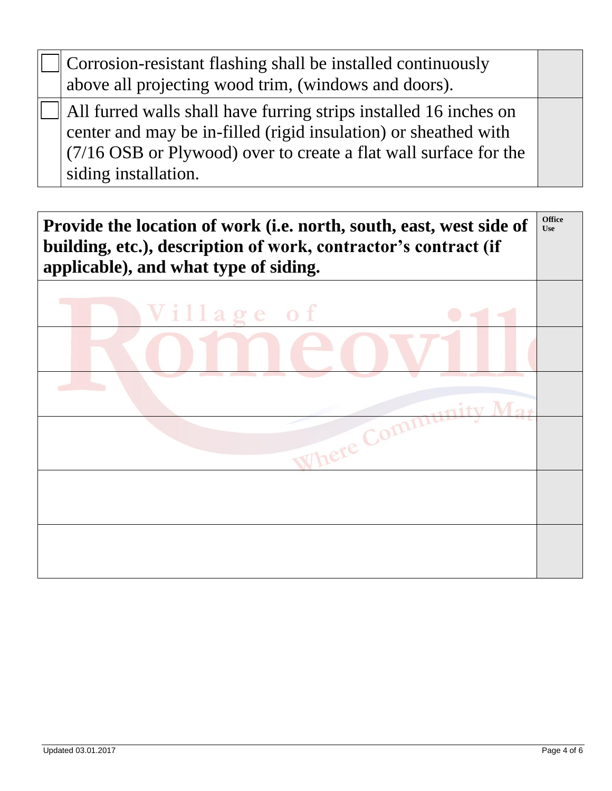Corrosion-resistant flashing shall be installed continuously above all projecting wood trim, (windows and doors). All furred walls shall have furring strips installed 16 inches on center and may be in-filled (rigid insulation) or sheathed with (7/16 OSB or Plywood) over to create a flat wall surface for the siding installation.

**Provide the location of work (i.e. north, south, east, west side of building, etc.), description of work, contractor's contract (if applicable), and what type of siding. Office Use**

| Village of                                               |  |
|----------------------------------------------------------|--|
|                                                          |  |
| the control of the control of the con-<br>v.<br>$M_{2t}$ |  |
| Where Community                                          |  |
|                                                          |  |
|                                                          |  |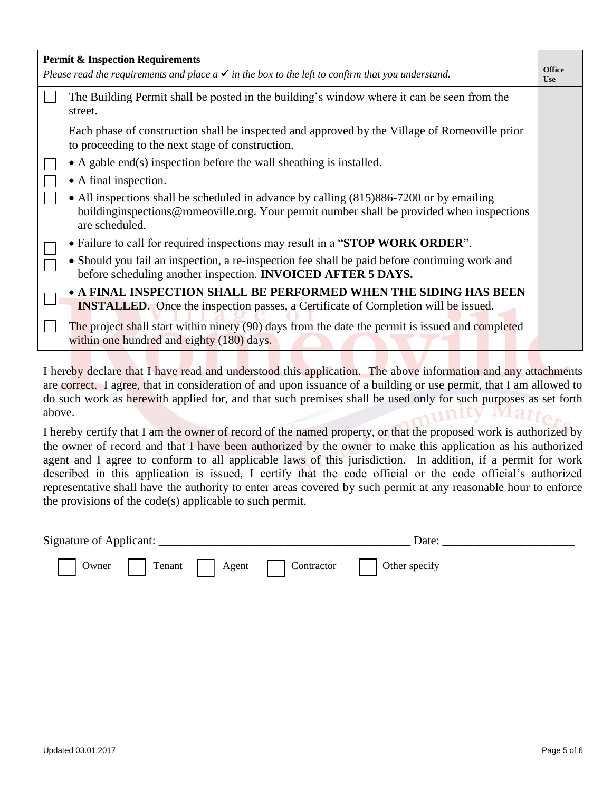|                                                                                                              | <b>Permit &amp; Inspection Requirements</b>                                                                                                                                                            | <b>Office</b> |
|--------------------------------------------------------------------------------------------------------------|--------------------------------------------------------------------------------------------------------------------------------------------------------------------------------------------------------|---------------|
| Please read the requirements and place $a \checkmark$ in the box to the left to confirm that you understand. |                                                                                                                                                                                                        | <b>Use</b>    |
|                                                                                                              | The Building Permit shall be posted in the building's window where it can be seen from the<br>street.                                                                                                  |               |
|                                                                                                              | Each phase of construction shall be inspected and approved by the Village of Romeoville prior<br>to proceeding to the next stage of construction.                                                      |               |
|                                                                                                              | $\bullet$ A gable end(s) inspection before the wall sheathing is installed.                                                                                                                            |               |
|                                                                                                              | • A final inspection.                                                                                                                                                                                  |               |
|                                                                                                              | • All inspections shall be scheduled in advance by calling (815)886-7200 or by emailing<br>buildinginspections@romeoville.org. Your permit number shall be provided when inspections<br>are scheduled. |               |
|                                                                                                              | • Failure to call for required inspections may result in a "STOP WORK ORDER".                                                                                                                          |               |
|                                                                                                              | • Should you fail an inspection, a re-inspection fee shall be paid before continuing work and<br>before scheduling another inspection. INVOICED AFTER 5 DAYS.                                          |               |
|                                                                                                              | • A FINAL INSPECTION SHALL BE PERFORMED WHEN THE SIDING HAS BEEN<br><b>INSTALLED.</b> Once the inspection passes, a Certificate of Completion will be issued.                                          |               |
|                                                                                                              | The project shall start within ninety (90) days from the date the permit is issued and completed<br>within one hundred and eighty (180) days.                                                          |               |
|                                                                                                              |                                                                                                                                                                                                        |               |

I hereby declare that I have read and understood this application. The above information and any attachments are correct. I agree, that in consideration of and upon issuance of a building or use permit, that I am allowed to do such work as herewith applied for, and that such premises shall be used only for such purposes as set forth above. nunity Matte

I hereby certify that I am the owner of record of the named property, or that the proposed work is authorized by the owner of record and that I have been authorized by the owner to make this application as his authorized agent and I agree to conform to all applicable laws of this jurisdiction. In addition, if a permit for work described in this application is issued, I certify that the code official or the code official's authorized representative shall have the authority to enter areas covered by such permit at any reasonable hour to enforce the provisions of the code(s) applicable to such permit.

| <b>Signature of Applicant:</b> |       |        |       |            | Jate          |  |
|--------------------------------|-------|--------|-------|------------|---------------|--|
|                                | Owner | Tenant | Agent | Contractor | Other specify |  |